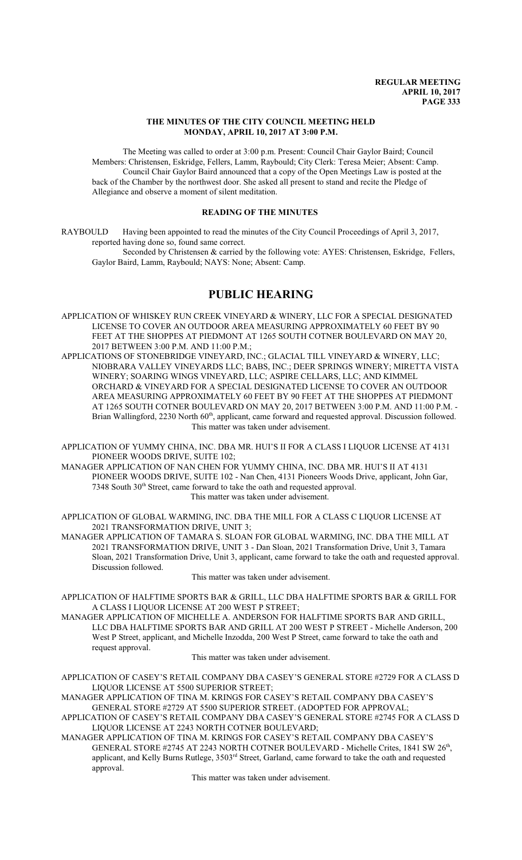#### **THE MINUTES OF THE CITY COUNCIL MEETING HELD MONDAY, APRIL 10, 2017 AT 3:00 P.M.**

The Meeting was called to order at 3:00 p.m. Present: Council Chair Gaylor Baird; Council Members: Christensen, Eskridge, Fellers, Lamm, Raybould; City Clerk: Teresa Meier; Absent: Camp. Council Chair Gaylor Baird announced that a copy of the Open Meetings Law is posted at the back of the Chamber by the northwest door. She asked all present to stand and recite the Pledge of Allegiance and observe a moment of silent meditation.

#### **READING OF THE MINUTES**

RAYBOULD Having been appointed to read the minutes of the City Council Proceedings of April 3, 2017, reported having done so, found same correct.

Seconded by Christensen & carried by the following vote: AYES: Christensen, Eskridge, Fellers, Gaylor Baird, Lamm, Raybould; NAYS: None; Absent: Camp.

# **PUBLIC HEARING**

APPLICATION OF WHISKEY RUN CREEK VINEYARD & WINERY, LLC FOR A SPECIAL DESIGNATED LICENSE TO COVER AN OUTDOOR AREA MEASURING APPROXIMATELY 60 FEET BY 90 FEET AT THE SHOPPES AT PIEDMONT AT 1265 SOUTH COTNER BOULEVARD ON MAY 20, 2017 BETWEEN 3:00 P.M. AND 11:00 P.M.;

APPLICATIONS OF STONEBRIDGE VINEYARD, INC.; GLACIAL TILL VINEYARD & WINERY, LLC; NIOBRARA VALLEY VINEYARDS LLC; BABS, INC.; DEER SPRINGS WINERY; MIRETTA VISTA WINERY; SOARING WINGS VINEYARD, LLC; ASPIRE CELLARS, LLC; AND KIMMEL ORCHARD & VINEYARD FOR A SPECIAL DESIGNATED LICENSE TO COVER AN OUTDOOR AREA MEASURING APPROXIMATELY 60 FEET BY 90 FEET AT THE SHOPPES AT PIEDMONT AT 1265 SOUTH COTNER BOULEVARD ON MAY 20, 2017 BETWEEN 3:00 P.M. AND 11:00 P.M. - Brian Wallingford, 2230 North 60<sup>th</sup>, applicant, came forward and requested approval. Discussion followed. This matter was taken under advisement.

APPLICATION OF YUMMY CHINA, INC. DBA MR. HUI'S II FOR A CLASS I LIQUOR LICENSE AT 4131 PIONEER WOODS DRIVE, SUITE 102;

MANAGER APPLICATION OF NAN CHEN FOR YUMMY CHINA, INC. DBA MR. HUI'S II AT 4131 PIONEER WOODS DRIVE, SUITE 102 - Nan Chen, 4131 Pioneers Woods Drive, applicant, John Gar, 7348 South 30<sup>th</sup> Street, came forward to take the oath and requested approval. This matter was taken under advisement.

APPLICATION OF GLOBAL WARMING, INC. DBA THE MILL FOR A CLASS C LIQUOR LICENSE AT 2021 TRANSFORMATION DRIVE, UNIT 3;

MANAGER APPLICATION OF TAMARA S. SLOAN FOR GLOBAL WARMING, INC. DBA THE MILL AT 2021 TRANSFORMATION DRIVE, UNIT 3 - Dan Sloan, 2021 Transformation Drive, Unit 3, Tamara Sloan, 2021 Transformation Drive, Unit 3, applicant, came forward to take the oath and requested approval. Discussion followed.

This matter was taken under advisement.

APPLICATION OF HALFTIME SPORTS BAR & GRILL, LLC DBA HALFTIME SPORTS BAR & GRILL FOR A CLASS I LIQUOR LICENSE AT 200 WEST P STREET;

MANAGER APPLICATION OF MICHELLE A. ANDERSON FOR HALFTIME SPORTS BAR AND GRILL, LLC DBA HALFTIME SPORTS BAR AND GRILL AT 200 WEST P STREET - Michelle Anderson, 200 West P Street, applicant, and Michelle Inzodda, 200 West P Street, came forward to take the oath and request approval.

This matter was taken under advisement.

APPLICATION OF CASEY'S RETAIL COMPANY DBA CASEY'S GENERAL STORE #2729 FOR A CLASS D LIQUOR LICENSE AT 5500 SUPERIOR STREET;

MANAGER APPLICATION OF TINA M. KRINGS FOR CASEY'S RETAIL COMPANY DBA CASEY'S GENERAL STORE #2729 AT 5500 SUPERIOR STREET. (ADOPTED FOR APPROVAL;

APPLICATION OF CASEY'S RETAIL COMPANY DBA CASEY'S GENERAL STORE #2745 FOR A CLASS D LIQUOR LICENSE AT 2243 NORTH COTNER BOULEVARD;

MANAGER APPLICATION OF TINA M. KRINGS FOR CASEY'S RETAIL COMPANY DBA CASEY'S GENERAL STORE #2745 AT 2243 NORTH COTNER BOULEVARD - Michelle Crites, 1841 SW 26<sup>th</sup>, applicant, and Kelly Burns Rutlege, 3503<sup>rd</sup> Street, Garland, came forward to take the oath and requested approval.

This matter was taken under advisement.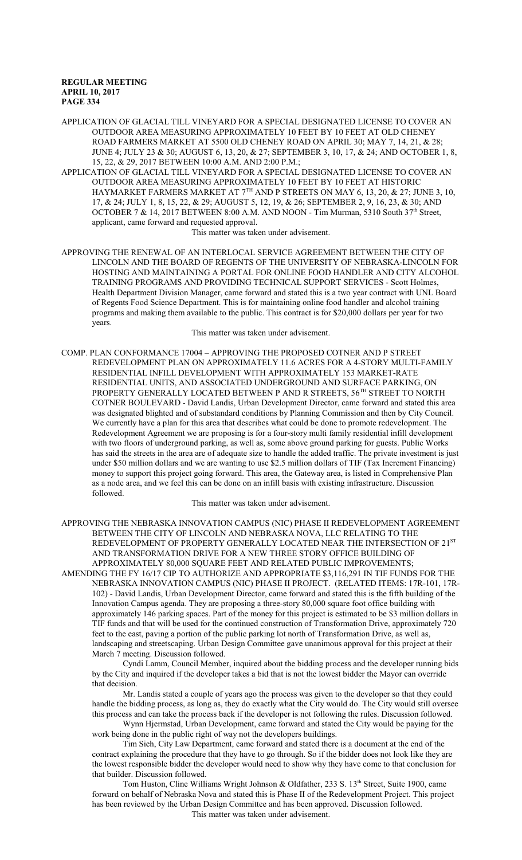APPLICATION OF GLACIAL TILL VINEYARD FOR A SPECIAL DESIGNATED LICENSE TO COVER AN OUTDOOR AREA MEASURING APPROXIMATELY 10 FEET BY 10 FEET AT OLD CHENEY ROAD FARMERS MARKET AT 5500 OLD CHENEY ROAD ON APRIL 30; MAY 7, 14, 21, & 28; JUNE 4; JULY 23 & 30; AUGUST 6, 13, 20, & 27; SEPTEMBER 3, 10, 17, & 24; AND OCTOBER 1, 8, 15, 22, & 29, 2017 BETWEEN 10:00 A.M. AND 2:00 P.M.;

APPLICATION OF GLACIAL TILL VINEYARD FOR A SPECIAL DESIGNATED LICENSE TO COVER AN OUTDOOR AREA MEASURING APPROXIMATELY 10 FEET BY 10 FEET AT HISTORIC HAYMARKET FARMERS MARKET AT  $7^{\text{\tiny{TH}}}$  AND P STREETS ON MAY 6, 13, 20, & 27; JUNE 3, 10, 17, & 24; JULY 1, 8, 15, 22, & 29; AUGUST 5, 12, 19, & 26; SEPTEMBER 2, 9, 16, 23, & 30; AND OCTOBER 7 & 14, 2017 BETWEEN 8:00 A.M. AND NOON - Tim Murman, 5310 South  $37<sup>th</sup>$  Street, applicant, came forward and requested approval.

This matter was taken under advisement.

APPROVING THE RENEWAL OF AN INTERLOCAL SERVICE AGREEMENT BETWEEN THE CITY OF LINCOLN AND THE BOARD OF REGENTS OF THE UNIVERSITY OF NEBRASKA-LINCOLN FOR HOSTING AND MAINTAINING A PORTAL FOR ONLINE FOOD HANDLER AND CITY ALCOHOL TRAINING PROGRAMS AND PROVIDING TECHNICAL SUPPORT SERVICES - Scott Holmes, Health Department Division Manager, came forward and stated this is a two year contract with UNL Board of Regents Food Science Department. This is for maintaining online food handler and alcohol training programs and making them available to the public. This contract is for \$20,000 dollars per year for two years.

This matter was taken under advisement.

COMP. PLAN CONFORMANCE 17004 – APPROVING THE PROPOSED COTNER AND P STREET REDEVELOPMENT PLAN ON APPROXIMATELY 11.6 ACRES FOR A 4-STORY MULTI-FAMILY RESIDENTIAL INFILL DEVELOPMENT WITH APPROXIMATELY 153 MARKET-RATE RESIDENTIAL UNITS, AND ASSOCIATED UNDERGROUND AND SURFACE PARKING, ON PROPERTY GENERALLY LOCATED BETWEEN P AND R STREETS, 56<sup>TH</sup> STREET TO NORTH COTNER BOULEVARD - David Landis, Urban Development Director, came forward and stated this area was designated blighted and of substandard conditions by Planning Commission and then by City Council. We currently have a plan for this area that describes what could be done to promote redevelopment. The Redevelopment Agreement we are proposing is for a four-story multi family residential infill development with two floors of underground parking, as well as, some above ground parking for guests. Public Works has said the streets in the area are of adequate size to handle the added traffic. The private investment is just under \$50 million dollars and we are wanting to use \$2.5 million dollars of TIF (Tax Increment Financing) money to support this project going forward. This area, the Gateway area, is listed in Comprehensive Plan as a node area, and we feel this can be done on an infill basis with existing infrastructure. Discussion followed.

This matter was taken under advisement.

APPROVING THE NEBRASKA INNOVATION CAMPUS (NIC) PHASE II REDEVELOPMENT AGREEMENT BETWEEN THE CITY OF LINCOLN AND NEBRASKA NOVA, LLC RELATING TO THE REDEVELOPMENT OF PROPERTY GENERALLY LOCATED NEAR THE INTERSECTION OF  $21^{\mathrm{ST}}$ AND TRANSFORMATION DRIVE FOR A NEW THREE STORY OFFICE BUILDING OF APPROXIMATELY 80,000 SQUARE FEET AND RELATED PUBLIC IMPROVEMENTS; AMENDING THE FY 16/17 CIP TO AUTHORIZE AND APPROPRIATE \$3,116,291 IN TIF FUNDS FOR THE NEBRASKA INNOVATION CAMPUS (NIC) PHASE II PROJECT. (RELATED ITEMS: 17R-101, 17R-102) - David Landis, Urban Development Director, came forward and stated this is the fifth building of the

Innovation Campus agenda. They are proposing a three-story 80,000 square foot office building with approximately 146 parking spaces. Part of the money for this project is estimated to be \$3 million dollars in TIF funds and that will be used for the continued construction of Transformation Drive, approximately 720 feet to the east, paving a portion of the public parking lot north of Transformation Drive, as well as, landscaping and streetscaping. Urban Design Committee gave unanimous approval for this project at their March 7 meeting. Discussion followed.

Cyndi Lamm, Council Member, inquired about the bidding process and the developer running bids by the City and inquired if the developer takes a bid that is not the lowest bidder the Mayor can override that decision.

Mr. Landis stated a couple of years ago the process was given to the developer so that they could handle the bidding process, as long as, they do exactly what the City would do. The City would still oversee this process and can take the process back if the developer is not following the rules. Discussion followed.

Wynn Hjermstad, Urban Development, came forward and stated the City would be paying for the work being done in the public right of way not the developers buildings.

Tim Sieh, City Law Department, came forward and stated there is a document at the end of the contract explaining the procedure that they have to go through. So if the bidder does not look like they are the lowest responsible bidder the developer would need to show why they have come to that conclusion for that builder. Discussion followed.

Tom Huston, Cline Williams Wright Johnson & Oldfather, 233 S. 13<sup>th</sup> Street, Suite 1900, came forward on behalf of Nebraska Nova and stated this is Phase II of the Redevelopment Project. This project has been reviewed by the Urban Design Committee and has been approved. Discussion followed. This matter was taken under advisement.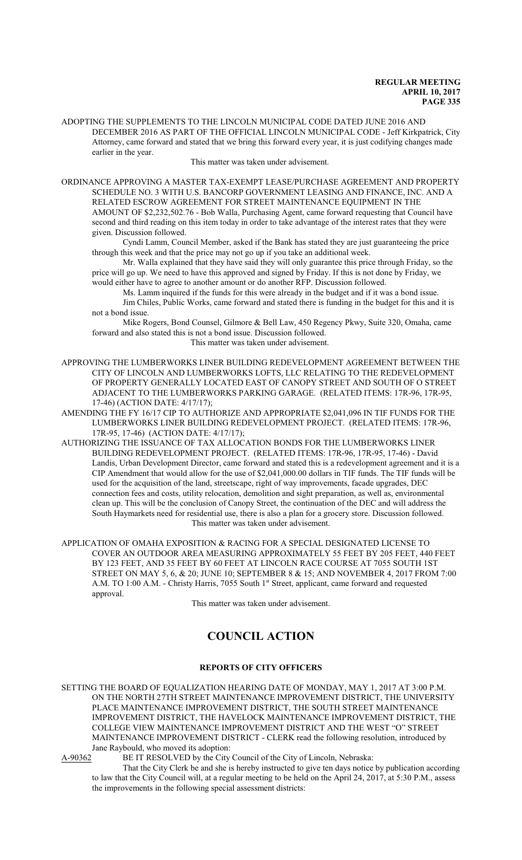ADOPTING THE SUPPLEMENTS TO THE LINCOLN MUNICIPAL CODE DATED JUNE 2016 AND DECEMBER 2016 AS PART OF THE OFFICIAL LINCOLN MUNICIPAL CODE - Jeff Kirkpatrick, City Attorney, came forward and stated that we bring this forward every year, it is just codifying changes made earlier in the year.

This matter was taken under advisement.

ORDINANCE APPROVING A MASTER TAX-EXEMPT LEASE/PURCHASE AGREEMENT AND PROPERTY SCHEDULE NO. 3 WITH U.S. BANCORP GOVERNMENT LEASING AND FINANCE, INC. AND A RELATED ESCROW AGREEMENT FOR STREET MAINTENANCE EQUIPMENT IN THE AMOUNT OF \$2,232,502.76 - Bob Walla, Purchasing Agent, came forward requesting that Council have second and third reading on this item today in order to take advantage of the interest rates that they were given. Discussion followed.

Cyndi Lamm, Council Member, asked if the Bank has stated they are just guaranteeing the price through this week and that the price may not go up if you take an additional week.

Mr. Walla explained that they have said they will only guarantee this price through Friday, so the price will go up. We need to have this approved and signed by Friday. If this is not done by Friday, we would either have to agree to another amount or do another RFP. Discussion followed.

Ms. Lamm inquired if the funds for this were already in the budget and if it was a bond issue. Jim Chiles, Public Works, came forward and stated there is funding in the budget for this and it is not a bond issue.

Mike Rogers, Bond Counsel, Gilmore & Bell Law, 450 Regency Pkwy, Suite 320, Omaha, came forward and also stated this is not a bond issue. Discussion followed.

This matter was taken under advisement.

APPROVING THE LUMBERWORKS LINER BUILDING REDEVELOPMENT AGREEMENT BETWEEN THE CITY OF LINCOLN AND LUMBERWORKS LOFTS, LLC RELATING TO THE REDEVELOPMENT OF PROPERTY GENERALLY LOCATED EAST OF CANOPY STREET AND SOUTH OF O STREET ADJACENT TO THE LUMBERWORKS PARKING GARAGE. (RELATED ITEMS: 17R-96, 17R-95, 17-46) (ACTION DATE: 4/17/17);

AMENDING THE FY 16/17 CIP TO AUTHORIZE AND APPROPRIATE \$2,041,096 IN TIF FUNDS FOR THE LUMBERWORKS LINER BUILDING REDEVELOPMENT PROJECT. (RELATED ITEMS: 17R-96, 17R-95, 17-46) (ACTION DATE: 4/17/17);

- AUTHORIZING THE ISSUANCE OF TAX ALLOCATION BONDS FOR THE LUMBERWORKS LINER BUILDING REDEVELOPMENT PROJECT. (RELATED ITEMS: 17R-96, 17R-95, 17-46) - David Landis, Urban Development Director, came forward and stated this is a redevelopment agreement and it is a CIP Amendment that would allow for the use of \$2,041,000.00 dollars in TIF funds. The TIF funds will be used for the acquisition of the land, streetscape, right of way improvements, facade upgrades, DEC connection fees and costs, utility relocation, demolition and sight preparation, as well as, environmental clean up. This will be the conclusion of Canopy Street, the continuation of the DEC and will address the South Haymarkets need for residential use, there is also a plan for a grocery store. Discussion followed. This matter was taken under advisement.
- APPLICATION OF OMAHA EXPOSITION & RACING FOR A SPECIAL DESIGNATED LICENSE TO COVER AN OUTDOOR AREA MEASURING APPROXIMATELY 55 FEET BY 205 FEET, 440 FEET BY 123 FEET, AND 35 FEET BY 60 FEET AT LINCOLN RACE COURSE AT 7055 SOUTH 1ST STREET ON MAY 5, 6, & 20; JUNE 10; SEPTEMBER 8 & 15; AND NOVEMBER 4, 2017 FROM 7:00 A.M. TO 1:00 A.M. - Christy Harris, 7055 South 1st Street, applicant, came forward and requested approval.

This matter was taken under advisement.

# **COUNCIL ACTION**

#### **REPORTS OF CITY OFFICERS**

SETTING THE BOARD OF EQUALIZATION HEARING DATE OF MONDAY, MAY 1, 2017 AT 3:00 P.M. ON THE NORTH 27TH STREET MAINTENANCE IMPROVEMENT DISTRICT, THE UNIVERSITY PLACE MAINTENANCE IMPROVEMENT DISTRICT, THE SOUTH STREET MAINTENANCE IMPROVEMENT DISTRICT, THE HAVELOCK MAINTENANCE IMPROVEMENT DISTRICT, THE COLLEGE VIEW MAINTENANCE IMPROVEMENT DISTRICT AND THE WEST "O" STREET MAINTENANCE IMPROVEMENT DISTRICT - CLERK read the following resolution, introduced by Jane Raybould, who moved its adoption:<br>A-90362 BE IT RESOLVED by the City

BE IT RESOLVED by the City Council of the City of Lincoln, Nebraska:

That the City Clerk be and she is hereby instructed to give ten days notice by publication according to law that the City Council will, at a regular meeting to be held on the April 24, 2017, at 5:30 P.M., assess the improvements in the following special assessment districts: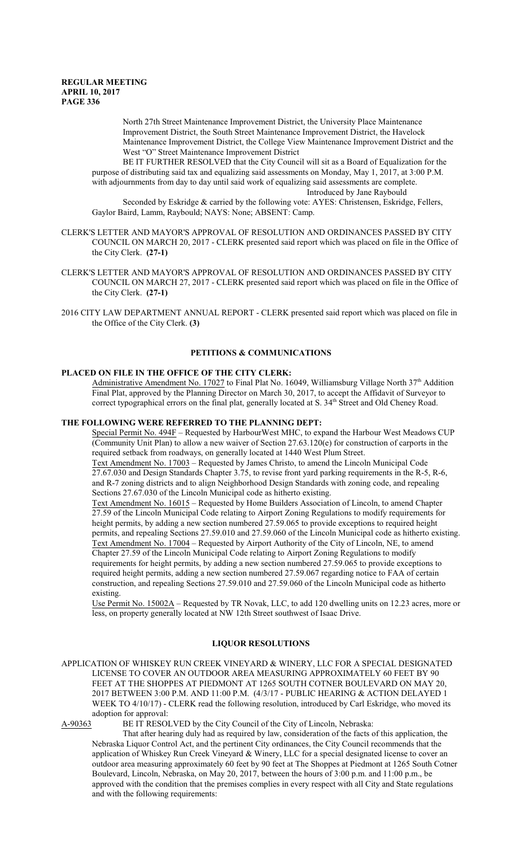North 27th Street Maintenance Improvement District, the University Place Maintenance Improvement District, the South Street Maintenance Improvement District, the Havelock Maintenance Improvement District, the College View Maintenance Improvement District and the West "O" Street Maintenance Improvement District

BE IT FURTHER RESOLVED that the City Council will sit as a Board of Equalization for the purpose of distributing said tax and equalizing said assessments on Monday, May 1, 2017, at 3:00 P.M. with adjournments from day to day until said work of equalizing said assessments are complete. Introduced by Jane Raybould

Seconded by Eskridge & carried by the following vote: AYES: Christensen, Eskridge, Fellers, Gaylor Baird, Lamm, Raybould; NAYS: None; ABSENT: Camp.

- CLERK'S LETTER AND MAYOR'S APPROVAL OF RESOLUTION AND ORDINANCES PASSED BY CITY COUNCIL ON MARCH 20, 2017 - CLERK presented said report which was placed on file in the Office of the City Clerk. **(27-1)**
- CLERK'S LETTER AND MAYOR'S APPROVAL OF RESOLUTION AND ORDINANCES PASSED BY CITY COUNCIL ON MARCH 27, 2017 - CLERK presented said report which was placed on file in the Office of the City Clerk. **(27-1)**
- 2016 CITY LAW DEPARTMENT ANNUAL REPORT CLERK presented said report which was placed on file in the Office of the City Clerk. **(3)**

#### **PETITIONS & COMMUNICATIONS**

#### **PLACED ON FILE IN THE OFFICE OF THE CITY CLERK:**

Administrative Amendment No. 17027 to Final Plat No. 16049, Williamsburg Village North 37<sup>th</sup> Addition Final Plat, approved by the Planning Director on March 30, 2017, to accept the Affidavit of Surveyor to correct typographical errors on the final plat, generally located at S. 34<sup>th</sup> Street and Old Cheney Road.

## **THE FOLLOWING WERE REFERRED TO THE PLANNING DEPT:**

Special Permit No. 494F – Requested by HarbourWest MHC, to expand the Harbour West Meadows CUP (Community Unit Plan) to allow a new waiver of Section  $27.63.120(e)$  for construction of carports in the required setback from roadways, on generally located at 1440 West Plum Street.

Text Amendment No. 17003 – Requested by James Christo, to amend the Lincoln Municipal Code 27.67.030 and Design Standards Chapter 3.75, to revise front yard parking requirements in the R-5, R-6, and R-7 zoning districts and to align Neighborhood Design Standards with zoning code, and repealing Sections 27.67.030 of the Lincoln Municipal code as hitherto existing.

Text Amendment No. 16015 – Requested by Home Builders Association of Lincoln, to amend Chapter 27.59 of the Lincoln Municipal Code relating to Airport Zoning Regulations to modify requirements for height permits, by adding a new section numbered 27.59.065 to provide exceptions to required height permits, and repealing Sections 27.59.010 and 27.59.060 of the Lincoln Municipal code as hitherto existing. Text Amendment No. 17004 – Requested by Airport Authority of the City of Lincoln, NE, to amend Chapter 27.59 of the Lincoln Municipal Code relating to Airport Zoning Regulations to modify requirements for height permits, by adding a new section numbered 27.59.065 to provide exceptions to required height permits, adding a new section numbered 27.59.067 regarding notice to FAA of certain construction, and repealing Sections 27.59.010 and 27.59.060 of the Lincoln Municipal code as hitherto existing.

Use Permit No. 15002A – Requested by TR Novak, LLC, to add 120 dwelling units on 12.23 acres, more or less, on property generally located at NW 12th Street southwest of Isaac Drive.

#### **LIQUOR RESOLUTIONS**

APPLICATION OF WHISKEY RUN CREEK VINEYARD & WINERY, LLC FOR A SPECIAL DESIGNATED LICENSE TO COVER AN OUTDOOR AREA MEASURING APPROXIMATELY 60 FEET BY 90 FEET AT THE SHOPPES AT PIEDMONT AT 1265 SOUTH COTNER BOULEVARD ON MAY 20, 2017 BETWEEN 3:00 P.M. AND 11:00 P.M. (4/3/17 - PUBLIC HEARING & ACTION DELAYED 1 WEEK TO 4/10/17) - CLERK read the following resolution, introduced by Carl Eskridge, who moved its adoption for approval:<br>A-90363 BE IT RESOI

BE IT RESOLVED by the City Council of the City of Lincoln, Nebraska:

That after hearing duly had as required by law, consideration of the facts of this application, the Nebraska Liquor Control Act, and the pertinent City ordinances, the City Council recommends that the application of Whiskey Run Creek Vineyard  $&$  Winery, LLC for a special designated license to cover an outdoor area measuring approximately 60 feet by 90 feet at The Shoppes at Piedmont at 1265 South Cotner Boulevard, Lincoln, Nebraska, on May 20, 2017, between the hours of 3:00 p.m. and 11:00 p.m., be approved with the condition that the premises complies in every respect with all City and State regulations and with the following requirements: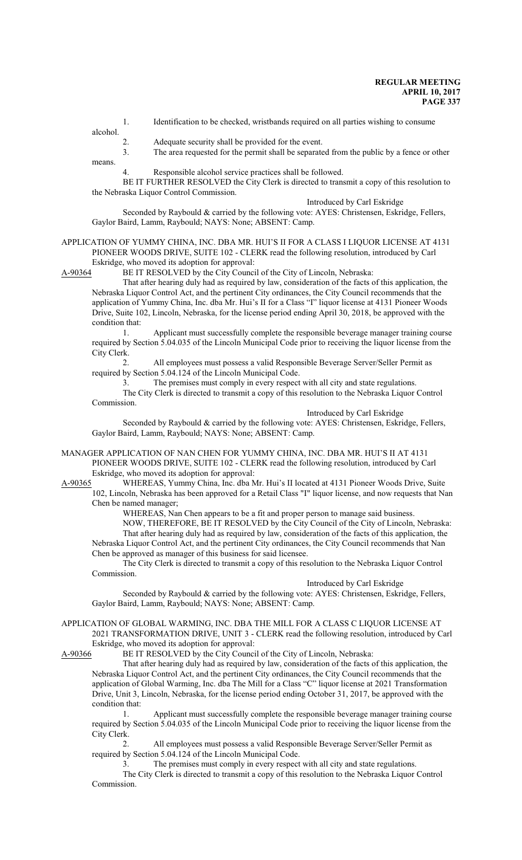1. Identification to be checked, wristbands required on all parties wishing to consume

alcohol.

2. Adequate security shall be provided for the event.

3. The area requested for the permit shall be separated from the public by a fence or other means.

4. Responsible alcohol service practices shall be followed.

BE IT FURTHER RESOLVED the City Clerk is directed to transmit a copy of this resolution to the Nebraska Liquor Control Commission.

Introduced by Carl Eskridge

Seconded by Raybould & carried by the following vote: AYES: Christensen, Eskridge, Fellers, Gaylor Baird, Lamm, Raybould; NAYS: None; ABSENT: Camp.

# APPLICATION OF YUMMY CHINA, INC. DBA MR. HUI'S II FOR A CLASS I LIQUOR LICENSE AT 4131 PIONEER WOODS DRIVE, SUITE 102 - CLERK read the following resolution, introduced by Carl

Eskridge, who moved its adoption for approval:<br>A-90364 BE IT RESOLVED by the City Council BE IT RESOLVED by the City Council of the City of Lincoln, Nebraska:

That after hearing duly had as required by law, consideration of the facts of this application, the Nebraska Liquor Control Act, and the pertinent City ordinances, the City Council recommends that the application of Yummy China, Inc. dba Mr. Hui's II for a Class "I" liquor license at 4131 Pioneer Woods Drive, Suite 102, Lincoln, Nebraska, for the license period ending April 30, 2018, be approved with the condition that:

1. Applicant must successfully complete the responsible beverage manager training course required by Section 5.04.035 of the Lincoln Municipal Code prior to receiving the liquor license from the City Clerk.

2. All employees must possess a valid Responsible Beverage Server/Seller Permit as required by Section 5.04.124 of the Lincoln Municipal Code.

3. The premises must comply in every respect with all city and state regulations.

The City Clerk is directed to transmit a copy of this resolution to the Nebraska Liquor Control Commission.

Introduced by Carl Eskridge

Seconded by Raybould & carried by the following vote: AYES: Christensen, Eskridge, Fellers, Gaylor Baird, Lamm, Raybould; NAYS: None; ABSENT: Camp.

MANAGER APPLICATION OF NAN CHEN FOR YUMMY CHINA, INC. DBA MR. HUI'S II AT 4131 PIONEER WOODS DRIVE, SUITE 102 - CLERK read the following resolution, introduced by Carl Eskridge, who moved its adoption for approval:

A-90365 WHEREAS, Yummy China, Inc. dba Mr. Hui's II located at 4131 Pioneer Woods Drive, Suite 102, Lincoln, Nebraska has been approved for a Retail Class "I" liquor license, and now requests that Nan

Chen be named manager;

WHEREAS, Nan Chen appears to be a fit and proper person to manage said business.

NOW, THEREFORE, BE IT RESOLVED by the City Council of the City of Lincoln, Nebraska: That after hearing duly had as required by law, consideration of the facts of this application, the Nebraska Liquor Control Act, and the pertinent City ordinances, the City Council recommends that Nan Chen be approved as manager of this business for said licensee.

The City Clerk is directed to transmit a copy of this resolution to the Nebraska Liquor Control Commission.

#### Introduced by Carl Eskridge

Seconded by Raybould & carried by the following vote: AYES: Christensen, Eskridge, Fellers, Gaylor Baird, Lamm, Raybould; NAYS: None; ABSENT: Camp.

APPLICATION OF GLOBAL WARMING, INC. DBA THE MILL FOR A CLASS C LIQUOR LICENSE AT 2021 TRANSFORMATION DRIVE, UNIT 3 - CLERK read the following resolution, introduced by Carl Eskridge, who moved its adoption for approval:<br>A-90366 BE IT RESOLVED by the City Council

BE IT RESOLVED by the City Council of the City of Lincoln, Nebraska:

That after hearing duly had as required by law, consideration of the facts of this application, the Nebraska Liquor Control Act, and the pertinent City ordinances, the City Council recommends that the application of Global Warming, Inc. dba The Mill for a Class "C" liquor license at 2021 Transformation Drive, Unit 3, Lincoln, Nebraska, for the license period ending October 31, 2017, be approved with the condition that:

1. Applicant must successfully complete the responsible beverage manager training course required by Section 5.04.035 of the Lincoln Municipal Code prior to receiving the liquor license from the City Clerk.

2. All employees must possess a valid Responsible Beverage Server/Seller Permit as required by Section 5.04.124 of the Lincoln Municipal Code.

3. The premises must comply in every respect with all city and state regulations.

The City Clerk is directed to transmit a copy of this resolution to the Nebraska Liquor Control Commission.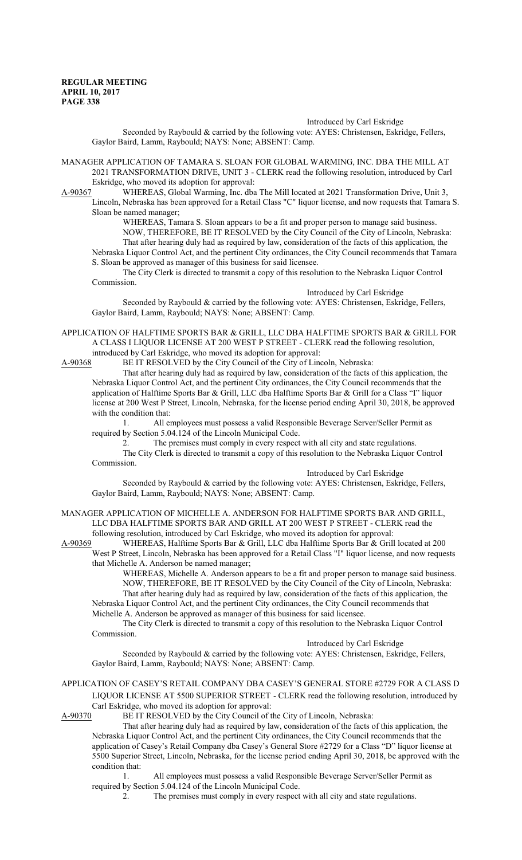Introduced by Carl Eskridge

Seconded by Raybould & carried by the following vote: AYES: Christensen, Eskridge, Fellers, Gaylor Baird, Lamm, Raybould; NAYS: None; ABSENT: Camp.

MANAGER APPLICATION OF TAMARA S. SLOAN FOR GLOBAL WARMING, INC. DBA THE MILL AT 2021 TRANSFORMATION DRIVE, UNIT 3 - CLERK read the following resolution, introduced by Carl Eskridge, who moved its adoption for approval:

A-90367 WHEREAS, Global Warming, Inc. dba The Mill located at 2021 Transformation Drive, Unit 3, Lincoln, Nebraska has been approved for a Retail Class "C" liquor license, and now requests that Tamara S. Sloan be named manager;

WHEREAS, Tamara S. Sloan appears to be a fit and proper person to manage said business. NOW, THEREFORE, BE IT RESOLVED by the City Council of the City of Lincoln, Nebraska: That after hearing duly had as required by law, consideration of the facts of this application, the Nebraska Liquor Control Act, and the pertinent City ordinances, the City Council recommends that Tamara S. Sloan be approved as manager of this business for said licensee.

The City Clerk is directed to transmit a copy of this resolution to the Nebraska Liquor Control Commission.

Introduced by Carl Eskridge Seconded by Raybould & carried by the following vote: AYES: Christensen, Eskridge, Fellers, Gaylor Baird, Lamm, Raybould; NAYS: None; ABSENT: Camp.

APPLICATION OF HALFTIME SPORTS BAR & GRILL, LLC DBA HALFTIME SPORTS BAR & GRILL FOR A CLASS I LIQUOR LICENSE AT 200 WEST P STREET - CLERK read the following resolution, introduced by Carl Eskridge, who moved its adoption for approval:<br>A-90368 BE IT RESOLVED by the City Council of the City of Line

BE IT RESOLVED by the City Council of the City of Lincoln, Nebraska:

That after hearing duly had as required by law, consideration of the facts of this application, the Nebraska Liquor Control Act, and the pertinent City ordinances, the City Council recommends that the application of Halftime Sports Bar & Grill, LLC dba Halftime Sports Bar & Grill for a Class "I" liquor license at 200 West P Street, Lincoln, Nebraska, for the license period ending April 30, 2018, be approved with the condition that:

1. All employees must possess a valid Responsible Beverage Server/Seller Permit as required by Section 5.04.124 of the Lincoln Municipal Code.

The premises must comply in every respect with all city and state regulations.

The City Clerk is directed to transmit a copy of this resolution to the Nebraska Liquor Control Commission.

Introduced by Carl Eskridge

Seconded by Raybould & carried by the following vote: AYES: Christensen, Eskridge, Fellers, Gaylor Baird, Lamm, Raybould; NAYS: None; ABSENT: Camp.

MANAGER APPLICATION OF MICHELLE A. ANDERSON FOR HALFTIME SPORTS BAR AND GRILL, LLC DBA HALFTIME SPORTS BAR AND GRILL AT 200 WEST P STREET - CLERK read the following resolution, introduced by Carl Eskridge, who moved its adoption for approval:

A-90369 WHEREAS, Halftime Sports Bar & Grill, LLC dba Halftime Sports Bar & Grill located at 200 West P Street, Lincoln, Nebraska has been approved for a Retail Class "I" liquor license, and now requests that Michelle A. Anderson be named manager;

WHEREAS, Michelle A. Anderson appears to be a fit and proper person to manage said business. NOW, THEREFORE, BE IT RESOLVED by the City Council of the City of Lincoln, Nebraska: That after hearing duly had as required by law, consideration of the facts of this application, the Nebraska Liquor Control Act, and the pertinent City ordinances, the City Council recommends that

Michelle A. Anderson be approved as manager of this business for said licensee.

The City Clerk is directed to transmit a copy of this resolution to the Nebraska Liquor Control Commission.

Introduced by Carl Eskridge

Seconded by Raybould & carried by the following vote: AYES: Christensen, Eskridge, Fellers, Gaylor Baird, Lamm, Raybould; NAYS: None; ABSENT: Camp.

APPLICATION OF CASEY'S RETAIL COMPANY DBA CASEY'S GENERAL STORE #2729 FOR A CLASS D LIQUOR LICENSE AT 5500 SUPERIOR STREET - CLERK read the following resolution, introduced by Carl Eskridge, who moved its adoption for approval:

A-90370 BE IT RESOLVED by the City Council of the City of Lincoln, Nebraska:

That after hearing duly had as required by law, consideration of the facts of this application, the Nebraska Liquor Control Act, and the pertinent City ordinances, the City Council recommends that the application of Casey's Retail Company dba Casey's General Store #2729 for a Class "D" liquor license at 5500 Superior Street, Lincoln, Nebraska, for the license period ending April 30, 2018, be approved with the condition that:

1. All employees must possess a valid Responsible Beverage Server/Seller Permit as required by Section 5.04.124 of the Lincoln Municipal Code.

2. The premises must comply in every respect with all city and state regulations.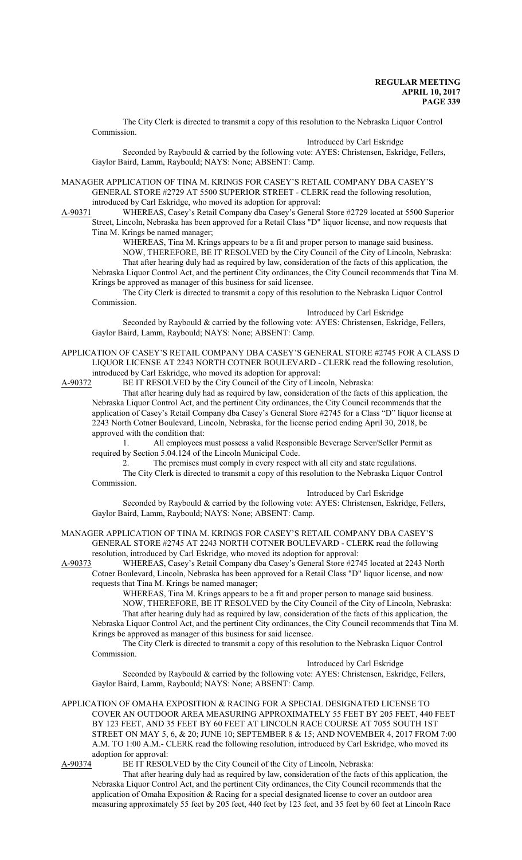The City Clerk is directed to transmit a copy of this resolution to the Nebraska Liquor Control Commission.

Introduced by Carl Eskridge

Seconded by Raybould & carried by the following vote: AYES: Christensen, Eskridge, Fellers, Gaylor Baird, Lamm, Raybould; NAYS: None; ABSENT: Camp.

MANAGER APPLICATION OF TINA M. KRINGS FOR CASEY'S RETAIL COMPANY DBA CASEY'S GENERAL STORE #2729 AT 5500 SUPERIOR STREET - CLERK read the following resolution, introduced by Carl Eskridge, who moved its adoption for approval:

A-90371 WHEREAS, Casey's Retail Company dba Casey's General Store #2729 located at 5500 Superior Street, Lincoln, Nebraska has been approved for a Retail Class "D" liquor license, and now requests that Tina M. Krings be named manager;

WHEREAS, Tina M. Krings appears to be a fit and proper person to manage said business. NOW, THEREFORE, BE IT RESOLVED by the City Council of the City of Lincoln, Nebraska: That after hearing duly had as required by law, consideration of the facts of this application, the Nebraska Liquor Control Act, and the pertinent City ordinances, the City Council recommends that Tina M. Krings be approved as manager of this business for said licensee.

The City Clerk is directed to transmit a copy of this resolution to the Nebraska Liquor Control Commission.

Introduced by Carl Eskridge

Seconded by Raybould & carried by the following vote: AYES: Christensen, Eskridge, Fellers, Gaylor Baird, Lamm, Raybould; NAYS: None; ABSENT: Camp.

APPLICATION OF CASEY'S RETAIL COMPANY DBA CASEY'S GENERAL STORE #2745 FOR A CLASS D LIQUOR LICENSE AT 2243 NORTH COTNER BOULEVARD - CLERK read the following resolution, introduced by Carl Eskridge, who moved its adoption for approval:

A-90372 BE IT RESOLVED by the City Council of the City of Lincoln, Nebraska:

That after hearing duly had as required by law, consideration of the facts of this application, the Nebraska Liquor Control Act, and the pertinent City ordinances, the City Council recommends that the application of Casey's Retail Company dba Casey's General Store #2745 for a Class "D" liquor license at 2243 North Cotner Boulevard, Lincoln, Nebraska, for the license period ending April 30, 2018, be approved with the condition that:

1. All employees must possess a valid Responsible Beverage Server/Seller Permit as required by Section 5.04.124 of the Lincoln Municipal Code.

2. The premises must comply in every respect with all city and state regulations.

The City Clerk is directed to transmit a copy of this resolution to the Nebraska Liquor Control Commission.

Introduced by Carl Eskridge

Seconded by Raybould & carried by the following vote: AYES: Christensen, Eskridge, Fellers, Gaylor Baird, Lamm, Raybould; NAYS: None; ABSENT: Camp.

MANAGER APPLICATION OF TINA M. KRINGS FOR CASEY'S RETAIL COMPANY DBA CASEY'S GENERAL STORE #2745 AT 2243 NORTH COTNER BOULEVARD - CLERK read the following resolution, introduced by Carl Eskridge, who moved its adoption for approval:

A-90373 WHEREAS, Casey's Retail Company dba Casey's General Store #2745 located at 2243 North Cotner Boulevard, Lincoln, Nebraska has been approved for a Retail Class "D" liquor license, and now requests that Tina M. Krings be named manager;

WHEREAS, Tina M. Krings appears to be a fit and proper person to manage said business. NOW, THEREFORE, BE IT RESOLVED by the City Council of the City of Lincoln, Nebraska: That after hearing duly had as required by law, consideration of the facts of this application, the Nebraska Liquor Control Act, and the pertinent City ordinances, the City Council recommends that Tina M.

Krings be approved as manager of this business for said licensee. The City Clerk is directed to transmit a copy of this resolution to the Nebraska Liquor Control Commission.

Introduced by Carl Eskridge

Seconded by Raybould & carried by the following vote: AYES: Christensen, Eskridge, Fellers, Gaylor Baird, Lamm, Raybould; NAYS: None; ABSENT: Camp.

APPLICATION OF OMAHA EXPOSITION & RACING FOR A SPECIAL DESIGNATED LICENSE TO COVER AN OUTDOOR AREA MEASURING APPROXIMATELY 55 FEET BY 205 FEET, 440 FEET BY 123 FEET, AND 35 FEET BY 60 FEET AT LINCOLN RACE COURSE AT 7055 SOUTH 1ST STREET ON MAY 5, 6, & 20; JUNE 10; SEPTEMBER 8 & 15; AND NOVEMBER 4, 2017 FROM 7:00 A.M. TO 1:00 A.M.- CLERK read the following resolution, introduced by Carl Eskridge, who moved its adoption for approval:

A-90374 BE IT RESOLVED by the City Council of the City of Lincoln, Nebraska:

That after hearing duly had as required by law, consideration of the facts of this application, the Nebraska Liquor Control Act, and the pertinent City ordinances, the City Council recommends that the application of Omaha Exposition  $&$  Racing for a special designated license to cover an outdoor area measuring approximately 55 feet by 205 feet, 440 feet by 123 feet, and 35 feet by 60 feet at Lincoln Race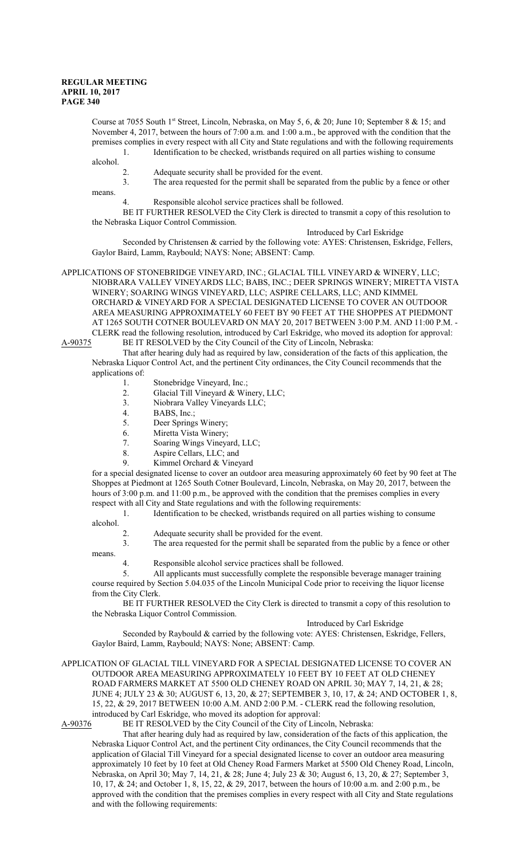Course at 7055 South 1<sup>st</sup> Street, Lincoln, Nebraska, on May 5, 6, & 20; June 10; September 8 & 15; and November 4, 2017, between the hours of 7:00 a.m. and 1:00 a.m., be approved with the condition that the premises complies in every respect with all City and State regulations and with the following requirements 1. Identification to be checked, wristbands required on all parties wishing to consume

alcohol.

2. Adequate security shall be provided for the event.<br>3. The area requested for the permit shall be separate The area requested for the permit shall be separated from the public by a fence or other

means.

4. Responsible alcohol service practices shall be followed.

BE IT FURTHER RESOLVED the City Clerk is directed to transmit a copy of this resolution to the Nebraska Liquor Control Commission.

Introduced by Carl Eskridge

Seconded by Christensen & carried by the following vote: AYES: Christensen, Eskridge, Fellers, Gaylor Baird, Lamm, Raybould; NAYS: None; ABSENT: Camp.

APPLICATIONS OF STONEBRIDGE VINEYARD, INC.; GLACIAL TILL VINEYARD & WINERY, LLC; NIOBRARA VALLEY VINEYARDS LLC; BABS, INC.; DEER SPRINGS WINERY; MIRETTA VISTA WINERY; SOARING WINGS VINEYARD, LLC; ASPIRE CELLARS, LLC; AND KIMMEL ORCHARD & VINEYARD FOR A SPECIAL DESIGNATED LICENSE TO COVER AN OUTDOOR AREA MEASURING APPROXIMATELY 60 FEET BY 90 FEET AT THE SHOPPES AT PIEDMONT AT 1265 SOUTH COTNER BOULEVARD ON MAY 20, 2017 BETWEEN 3:00 P.M. AND 11:00 P.M. - CLERK read the following resolution, introduced by Carl Eskridge, who moved its adoption for approval:

A-90375 BE IT RESOLVED by the City Council of the City of Lincoln, Nebraska: That after hearing duly had as required by law, consideration of the facts of this application, the Nebraska Liquor Control Act, and the pertinent City ordinances, the City Council recommends that the applications of:

- 1. Stonebridge Vineyard, Inc.;
- 
- 2. Glacial Till Vineyard & Winery, LLC;<br>3. Niobrara Valley Vineyards LLC; 3. Niobrara Valley Vineyards LLC;<br>4. BABS, Inc.;
- BABS, Inc.;
- 
- 5. Deer Springs Winery;<br>6. Miretta Vista Winery; Miretta Vista Winery;
- 7. Soaring Wings Vineyard, LLC;
- 
- 8. Aspire Cellars, LLC; and<br>9. Kimmel Orchard & Viney Kimmel Orchard & Vineyard

for a special designated license to cover an outdoor area measuring approximately 60 feet by 90 feet at The Shoppes at Piedmont at 1265 South Cotner Boulevard, Lincoln, Nebraska, on May 20, 2017, between the hours of 3:00 p.m. and 11:00 p.m., be approved with the condition that the premises complies in every respect with all City and State regulations and with the following requirements:

1. Identification to be checked, wristbands required on all parties wishing to consume

alcohol.

Adequate security shall be provided for the event.

3. The area requested for the permit shall be separated from the public by a fence or other means.

4. Responsible alcohol service practices shall be followed.

5. All applicants must successfully complete the responsible beverage manager training course required by Section 5.04.035 of the Lincoln Municipal Code prior to receiving the liquor license from the City Clerk.

BE IT FURTHER RESOLVED the City Clerk is directed to transmit a copy of this resolution to the Nebraska Liquor Control Commission.

#### Introduced by Carl Eskridge

Seconded by Raybould & carried by the following vote: AYES: Christensen, Eskridge, Fellers, Gaylor Baird, Lamm, Raybould; NAYS: None; ABSENT: Camp.

APPLICATION OF GLACIAL TILL VINEYARD FOR A SPECIAL DESIGNATED LICENSE TO COVER AN OUTDOOR AREA MEASURING APPROXIMATELY 10 FEET BY 10 FEET AT OLD CHENEY ROAD FARMERS MARKET AT 5500 OLD CHENEY ROAD ON APRIL 30; MAY 7, 14, 21, & 28; JUNE 4; JULY 23 & 30; AUGUST 6, 13, 20, & 27; SEPTEMBER 3, 10, 17, & 24; AND OCTOBER 1, 8, 15, 22, & 29, 2017 BETWEEN 10:00 A.M. AND 2:00 P.M. - CLERK read the following resolution, introduced by Carl Eskridge, who moved its adoption for approval:<br>A-90376 BE IT RESOLVED by the City Council of the City of Line

BE IT RESOLVED by the City Council of the City of Lincoln, Nebraska:

That after hearing duly had as required by law, consideration of the facts of this application, the Nebraska Liquor Control Act, and the pertinent City ordinances, the City Council recommends that the application of Glacial Till Vineyard for a special designated license to cover an outdoor area measuring approximately 10 feet by 10 feet at Old Cheney Road Farmers Market at 5500 Old Cheney Road, Lincoln, Nebraska, on April 30; May 7, 14, 21, & 28; June 4; July 23 & 30; August 6, 13, 20, & 27; September 3, 10, 17, & 24; and October 1, 8, 15, 22, & 29, 2017, between the hours of 10:00 a.m. and 2:00 p.m., be approved with the condition that the premises complies in every respect with all City and State regulations and with the following requirements: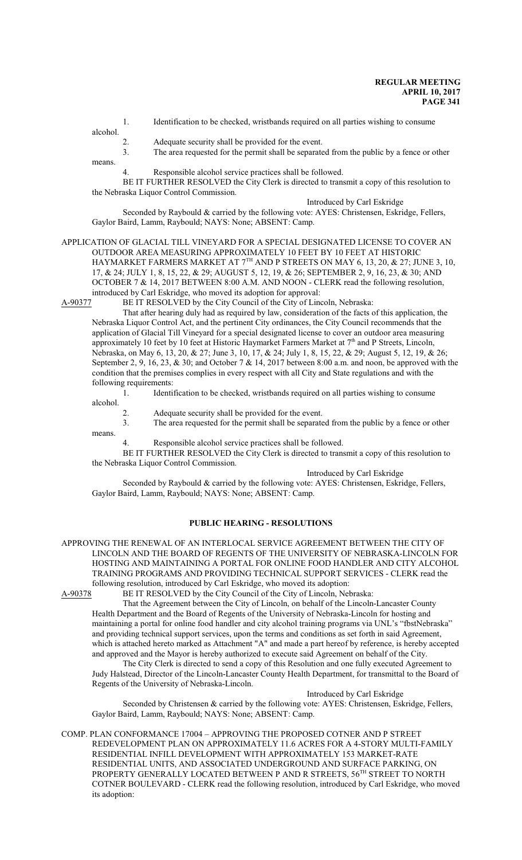- 1. Identification to be checked, wristbands required on all parties wishing to consume
- alcohol.

means.

- 2. Adequate security shall be provided for the event.
- 3. The area requested for the permit shall be separated from the public by a fence or other means.
	- 4. Responsible alcohol service practices shall be followed.

BE IT FURTHER RESOLVED the City Clerk is directed to transmit a copy of this resolution to the Nebraska Liquor Control Commission.

Introduced by Carl Eskridge

Seconded by Raybould & carried by the following vote: AYES: Christensen, Eskridge, Fellers, Gaylor Baird, Lamm, Raybould; NAYS: None; ABSENT: Camp.

APPLICATION OF GLACIAL TILL VINEYARD FOR A SPECIAL DESIGNATED LICENSE TO COVER AN OUTDOOR AREA MEASURING APPROXIMATELY 10 FEET BY 10 FEET AT HISTORIC HAYMARKET FARMERS MARKET AT 7 $^{\text{TH}}$  AND P STREETS ON MAY 6, 13, 20, & 27; JUNE 3, 10, 17, & 24; JULY 1, 8, 15, 22, & 29; AUGUST 5, 12, 19, & 26; SEPTEMBER 2, 9, 16, 23, & 30; AND OCTOBER 7 & 14, 2017 BETWEEN 8:00 A.M. AND NOON - CLERK read the following resolution, introduced by Carl Eskridge, who moved its adoption for approval:<br>A-90377 BE IT RESOLVED by the City Council of the City of Line

BE IT RESOLVED by the City Council of the City of Lincoln, Nebraska:

That after hearing duly had as required by law, consideration of the facts of this application, the Nebraska Liquor Control Act, and the pertinent City ordinances, the City Council recommends that the application of Glacial Till Vineyard for a special designated license to cover an outdoor area measuring approximately 10 feet by 10 feet at Historic Haymarket Farmers Market at 7<sup>th</sup> and P Streets, Lincoln, Nebraska, on May 6, 13, 20, & 27; June 3, 10, 17, & 24; July 1, 8, 15, 22, & 29; August 5, 12, 19, & 26; September 2, 9, 16, 23,  $\&$  30; and October 7  $\&$  14, 2017 between 8:00 a.m. and noon, be approved with the condition that the premises complies in every respect with all City and State regulations and with the following requirements:

1. Identification to be checked, wristbands required on all parties wishing to consume alcohol.

- 2. Adequate security shall be provided for the event.<br>3. The area requested for the permit shall be separate
- The area requested for the permit shall be separated from the public by a fence or other
- 4. Responsible alcohol service practices shall be followed.

BE IT FURTHER RESOLVED the City Clerk is directed to transmit a copy of this resolution to the Nebraska Liquor Control Commission.

Introduced by Carl Eskridge

Seconded by Raybould & carried by the following vote: AYES: Christensen, Eskridge, Fellers, Gaylor Baird, Lamm, Raybould; NAYS: None; ABSENT: Camp.

## **PUBLIC HEARING - RESOLUTIONS**

APPROVING THE RENEWAL OF AN INTERLOCAL SERVICE AGREEMENT BETWEEN THE CITY OF LINCOLN AND THE BOARD OF REGENTS OF THE UNIVERSITY OF NEBRASKA-LINCOLN FOR HOSTING AND MAINTAINING A PORTAL FOR ONLINE FOOD HANDLER AND CITY ALCOHOL TRAINING PROGRAMS AND PROVIDING TECHNICAL SUPPORT SERVICES - CLERK read the following resolution, introduced by Carl Eskridge, who moved its adoption:<br>A-90378 BE IT RESOLVED by the City Council of the City of Lincoln, Net

BE IT RESOLVED by the City Council of the City of Lincoln, Nebraska:

That the Agreement between the City of Lincoln, on behalf of the Lincoln-Lancaster County Health Department and the Board of Regents of the University of Nebraska-Lincoln for hosting and maintaining a portal for online food handler and city alcohol training programs via UNL's "fbstNebraska" and providing technical support services, upon the terms and conditions as set forth in said Agreement, which is attached hereto marked as Attachment "A" and made a part hereof by reference, is hereby accepted and approved and the Mayor is hereby authorized to execute said Agreement on behalf of the City.

The City Clerk is directed to send a copy of this Resolution and one fully executed Agreement to Judy Halstead, Director of the Lincoln-Lancaster County Health Department, for transmittal to the Board of Regents of the University of Nebraska-Lincoln.

Introduced by Carl Eskridge Seconded by Christensen & carried by the following vote: AYES: Christensen, Eskridge, Fellers, Gaylor Baird, Lamm, Raybould; NAYS: None; ABSENT: Camp.

COMP. PLAN CONFORMANCE 17004 – APPROVING THE PROPOSED COTNER AND P STREET REDEVELOPMENT PLAN ON APPROXIMATELY 11.6 ACRES FOR A 4-STORY MULTI-FAMILY RESIDENTIAL INFILL DEVELOPMENT WITH APPROXIMATELY 153 MARKET-RATE RESIDENTIAL UNITS, AND ASSOCIATED UNDERGROUND AND SURFACE PARKING, ON PROPERTY GENERALLY LOCATED BETWEEN P AND R STREETS, 56TH STREET TO NORTH COTNER BOULEVARD - CLERK read the following resolution, introduced by Carl Eskridge, who moved its adoption: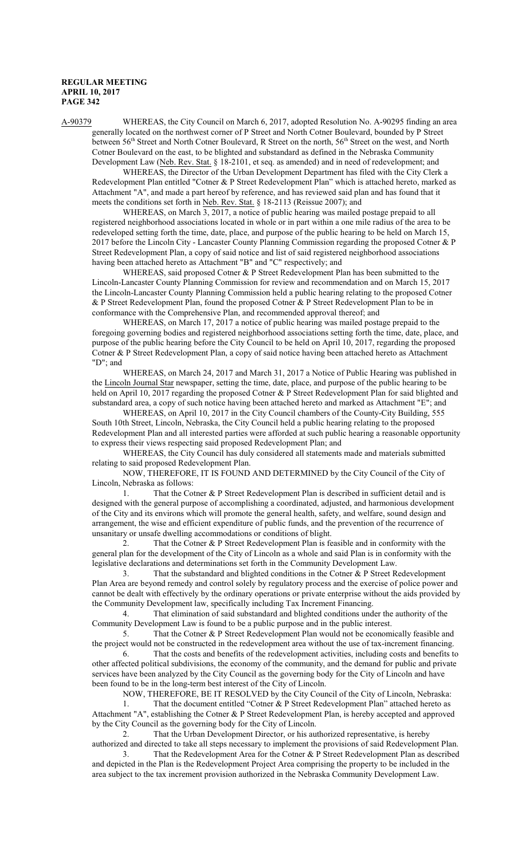A-90379 WHEREAS, the City Council on March 6, 2017, adopted Resolution No. A-90295 finding an area generally located on the northwest corner of P Street and North Cotner Boulevard, bounded by P Street between 56<sup>th</sup> Street and North Cotner Boulevard, R Street on the north, 56<sup>th</sup> Street on the west, and North Cotner Boulevard on the east, to be blighted and substandard as defined in the Nebraska Community Development Law (Neb. Rev. Stat. § 18-2101, et seq. as amended) and in need of redevelopment; and

WHEREAS, the Director of the Urban Development Department has filed with the City Clerk a Redevelopment Plan entitled "Cotner & P Street Redevelopment Plan" which is attached hereto, marked as Attachment "A", and made a part hereof by reference, and has reviewed said plan and has found that it meets the conditions set forth in Neb. Rev. Stat. § 18-2113 (Reissue 2007); and

WHEREAS, on March 3, 2017, a notice of public hearing was mailed postage prepaid to all registered neighborhood associations located in whole or in part within a one mile radius of the area to be redeveloped setting forth the time, date, place, and purpose of the public hearing to be held on March 15, 2017 before the Lincoln City - Lancaster County Planning Commission regarding the proposed Cotner & P Street Redevelopment Plan, a copy of said notice and list of said registered neighborhood associations having been attached hereto as Attachment "B" and "C" respectively; and

WHEREAS, said proposed Cotner & P Street Redevelopment Plan has been submitted to the Lincoln-Lancaster County Planning Commission for review and recommendation and on March 15, 2017 the Lincoln-Lancaster County Planning Commission held a public hearing relating to the proposed Cotner & P Street Redevelopment Plan, found the proposed Cotner & P Street Redevelopment Plan to be in conformance with the Comprehensive Plan, and recommended approval thereof; and

WHEREAS, on March 17, 2017 a notice of public hearing was mailed postage prepaid to the foregoing governing bodies and registered neighborhood associations setting forth the time, date, place, and purpose of the public hearing before the City Council to be held on April 10, 2017, regarding the proposed Cotner & P Street Redevelopment Plan, a copy of said notice having been attached hereto as Attachment "D"; and

WHEREAS, on March 24, 2017 and March 31, 2017 a Notice of Public Hearing was published in the Lincoln Journal Star newspaper, setting the time, date, place, and purpose of the public hearing to be held on April 10, 2017 regarding the proposed Cotner & P Street Redevelopment Plan for said blighted and substandard area, a copy of such notice having been attached hereto and marked as Attachment "E"; and

WHEREAS, on April 10, 2017 in the City Council chambers of the County-City Building, 555 South 10th Street, Lincoln, Nebraska, the City Council held a public hearing relating to the proposed Redevelopment Plan and all interested parties were afforded at such public hearing a reasonable opportunity to express their views respecting said proposed Redevelopment Plan; and

WHEREAS, the City Council has duly considered all statements made and materials submitted relating to said proposed Redevelopment Plan.

NOW, THEREFORE, IT IS FOUND AND DETERMINED by the City Council of the City of Lincoln, Nebraska as follows:

1. That the Cotner & P Street Redevelopment Plan is described in sufficient detail and is designed with the general purpose of accomplishing a coordinated, adjusted, and harmonious development of the City and its environs which will promote the general health, safety, and welfare, sound design and arrangement, the wise and efficient expenditure of public funds, and the prevention of the recurrence of unsanitary or unsafe dwelling accommodations or conditions of blight.

2. That the Cotner & P Street Redevelopment Plan is feasible and in conformity with the general plan for the development of the City of Lincoln as a whole and said Plan is in conformity with the legislative declarations and determinations set forth in the Community Development Law.

3. That the substandard and blighted conditions in the Cotner & P Street Redevelopment Plan Area are beyond remedy and control solely by regulatory process and the exercise of police power and cannot be dealt with effectively by the ordinary operations or private enterprise without the aids provided by the Community Development law, specifically including Tax Increment Financing.

4. That elimination of said substandard and blighted conditions under the authority of the Community Development Law is found to be a public purpose and in the public interest.

5. That the Cotner & P Street Redevelopment Plan would not be economically feasible and the project would not be constructed in the redevelopment area without the use of tax-increment financing.

6. That the costs and benefits of the redevelopment activities, including costs and benefits to other affected political subdivisions, the economy of the community, and the demand for public and private services have been analyzed by the City Council as the governing body for the City of Lincoln and have been found to be in the long-term best interest of the City of Lincoln.

NOW, THEREFORE, BE IT RESOLVED by the City Council of the City of Lincoln, Nebraska: 1. That the document entitled "Cotner & P Street Redevelopment Plan" attached hereto as Attachment "A", establishing the Cotner & P Street Redevelopment Plan, is hereby accepted and approved by the City Council as the governing body for the City of Lincoln.

2. That the Urban Development Director, or his authorized representative, is hereby authorized and directed to take all steps necessary to implement the provisions of said Redevelopment Plan.

3. That the Redevelopment Area for the Cotner & P Street Redevelopment Plan as described and depicted in the Plan is the Redevelopment Project Area comprising the property to be included in the area subject to the tax increment provision authorized in the Nebraska Community Development Law.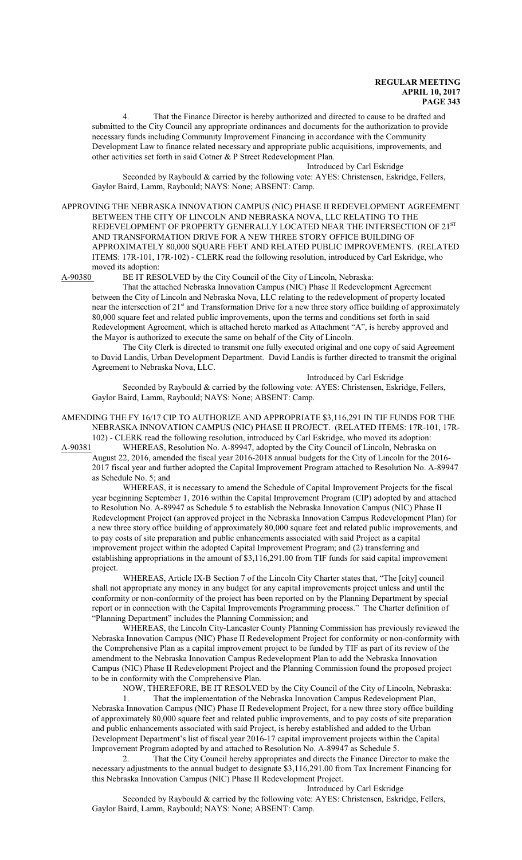4. That the Finance Director is hereby authorized and directed to cause to be drafted and submitted to the City Council any appropriate ordinances and documents for the authorization to provide necessary funds including Community Improvement Financing in accordance with the Community Development Law to finance related necessary and appropriate public acquisitions, improvements, and other activities set forth in said Cotner & P Street Redevelopment Plan.

Introduced by Carl Eskridge

Seconded by Raybould & carried by the following vote: AYES: Christensen, Eskridge, Fellers, Gaylor Baird, Lamm, Raybould; NAYS: None; ABSENT: Camp.

APPROVING THE NEBRASKA INNOVATION CAMPUS (NIC) PHASE II REDEVELOPMENT AGREEMENT BETWEEN THE CITY OF LINCOLN AND NEBRASKA NOVA, LLC RELATING TO THE REDEVELOPMENT OF PROPERTY GENERALLY LOCATED NEAR THE INTERSECTION OF  $21^{\mathrm{ST}}$ AND TRANSFORMATION DRIVE FOR A NEW THREE STORY OFFICE BUILDING OF APPROXIMATELY 80,000 SQUARE FEET AND RELATED PUBLIC IMPROVEMENTS. (RELATED ITEMS: 17R-101, 17R-102) - CLERK read the following resolution, introduced by Carl Eskridge, who moved its adoption:<br>A-90380 BE IT RES

BE IT RESOLVED by the City Council of the City of Lincoln, Nebraska:

That the attached Nebraska Innovation Campus (NIC) Phase II Redevelopment Agreement between the City of Lincoln and Nebraska Nova, LLC relating to the redevelopment of property located near the intersection of 21<sup>st</sup> and Transformation Drive for a new three story office building of approximately 80,000 square feet and related public improvements, upon the terms and conditions set forth in said Redevelopment Agreement, which is attached hereto marked as Attachment "A", is hereby approved and the Mayor is authorized to execute the same on behalf of the City of Lincoln.

The City Clerk is directed to transmit one fully executed original and one copy of said Agreement to David Landis, Urban Development Department. David Landis is further directed to transmit the original Agreement to Nebraska Nova, LLC.

Introduced by Carl Eskridge Seconded by Raybould & carried by the following vote: AYES: Christensen, Eskridge, Fellers, Gaylor Baird, Lamm, Raybould; NAYS: None; ABSENT: Camp.

# AMENDING THE FY 16/17 CIP TO AUTHORIZE AND APPROPRIATE \$3,116,291 IN TIF FUNDS FOR THE NEBRASKA INNOVATION CAMPUS (NIC) PHASE II PROJECT. (RELATED ITEMS: 17R-101, 17R-

102) - CLERK read the following resolution, introduced by Carl Eskridge, who moved its adoption:<br>A-90381 WHEREAS, Resolution No. A-89947, adopted by the City Council of Lincoln, Nebraska or WHEREAS, Resolution No. A-89947, adopted by the City Council of Lincoln, Nebraska on

August 22, 2016, amended the fiscal year 2016-2018 annual budgets for the City of Lincoln for the 2016- 2017 fiscal year and further adopted the Capital Improvement Program attached to Resolution No. A-89947 as Schedule No. 5; and

WHEREAS, it is necessary to amend the Schedule of Capital Improvement Projects for the fiscal year beginning September 1, 2016 within the Capital Improvement Program (CIP) adopted by and attached to Resolution No. A-89947 as Schedule 5 to establish the Nebraska Innovation Campus (NIC) Phase II Redevelopment Project (an approved project in the Nebraska Innovation Campus Redevelopment Plan) for a new three story office building of approximately 80,000 square feet and related public improvements, and to pay costs of site preparation and public enhancements associated with said Project as a capital improvement project within the adopted Capital Improvement Program; and (2) transferring and establishing appropriations in the amount of \$3,116,291.00 from TIF funds for said capital improvement project.

WHEREAS, Article IX-B Section 7 of the Lincoln City Charter states that, "The [city] council shall not appropriate any money in any budget for any capital improvements project unless and until the conformity or non-conformity of the project has been reported on by the Planning Department by special report or in connection with the Capital Improvements Programming process." The Charter definition of "Planning Department" includes the Planning Commission; and

WHEREAS, the Lincoln City-Lancaster County Planning Commission has previously reviewed the Nebraska Innovation Campus (NIC) Phase II Redevelopment Project for conformity or non-conformity with the Comprehensive Plan as a capital improvement project to be funded by TIF as part of its review of the amendment to the Nebraska Innovation Campus Redevelopment Plan to add the Nebraska Innovation Campus (NIC) Phase II Redevelopment Project and the Planning Commission found the proposed project to be in conformity with the Comprehensive Plan.

NOW, THEREFORE, BE IT RESOLVED by the City Council of the City of Lincoln, Nebraska:

1. That the implementation of the Nebraska Innovation Campus Redevelopment Plan, Nebraska Innovation Campus (NIC) Phase II Redevelopment Project, for a new three story office building of approximately 80,000 square feet and related public improvements, and to pay costs of site preparation and public enhancements associated with said Project, is hereby established and added to the Urban Development Department's list of fiscal year 2016-17 capital improvement projects within the Capital Improvement Program adopted by and attached to Resolution No. A-89947 as Schedule 5.

2. That the City Council hereby appropriates and directs the Finance Director to make the necessary adjustments to the annual budget to designate \$3,116,291.00 from Tax Increment Financing for this Nebraska Innovation Campus (NIC) Phase II Redevelopment Project.

#### Introduced by Carl Eskridge

Seconded by Raybould & carried by the following vote: AYES: Christensen, Eskridge, Fellers, Gaylor Baird, Lamm, Raybould; NAYS: None; ABSENT: Camp.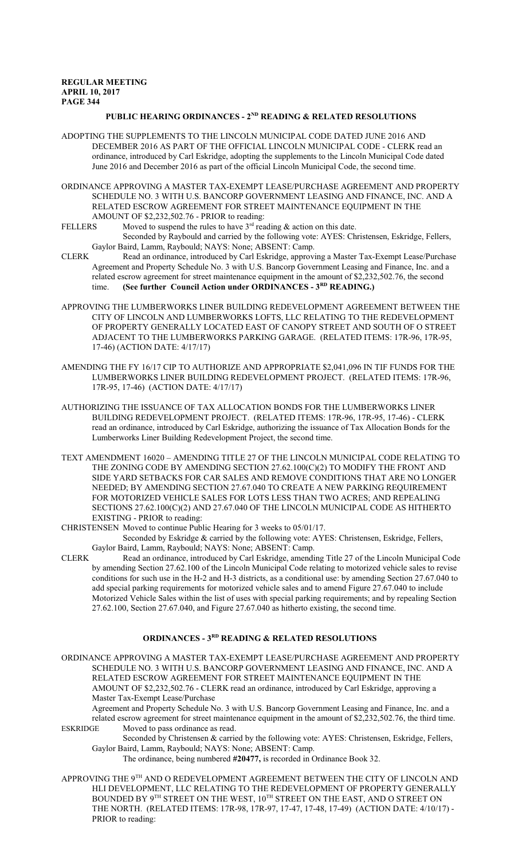# **PUBLIC HEARING ORDINANCES - 2ND READING & RELATED RESOLUTIONS**

- ADOPTING THE SUPPLEMENTS TO THE LINCOLN MUNICIPAL CODE DATED JUNE 2016 AND DECEMBER 2016 AS PART OF THE OFFICIAL LINCOLN MUNICIPAL CODE - CLERK read an ordinance, introduced by Carl Eskridge, adopting the supplements to the Lincoln Municipal Code dated June 2016 and December 2016 as part of the official Lincoln Municipal Code, the second time.
- ORDINANCE APPROVING A MASTER TAX-EXEMPT LEASE/PURCHASE AGREEMENT AND PROPERTY SCHEDULE NO. 3 WITH U.S. BANCORP GOVERNMENT LEASING AND FINANCE, INC. AND A RELATED ESCROW AGREEMENT FOR STREET MAINTENANCE EQUIPMENT IN THE AMOUNT OF \$2,232,502.76 - PRIOR to reading:
- FELLERS Moved to suspend the rules to have  $3<sup>rd</sup>$  reading  $\&$  action on this date. Seconded by Raybould and carried by the following vote: AYES: Christensen, Eskridge, Fellers, Gaylor Baird, Lamm, Raybould; NAYS: None; ABSENT: Camp.
- CLERK Read an ordinance, introduced by Carl Eskridge, approving a Master Tax-Exempt Lease/Purchase Agreement and Property Schedule No. 3 with U.S. Bancorp Government Leasing and Finance, Inc. and a related escrow agreement for street maintenance equipment in the amount of \$2,232,502.76, the second time. (See further Council Action under ORDINANCES - 3<sup>RD</sup> READING.)
- APPROVING THE LUMBERWORKS LINER BUILDING REDEVELOPMENT AGREEMENT BETWEEN THE CITY OF LINCOLN AND LUMBERWORKS LOFTS, LLC RELATING TO THE REDEVELOPMENT OF PROPERTY GENERALLY LOCATED EAST OF CANOPY STREET AND SOUTH OF O STREET ADJACENT TO THE LUMBERWORKS PARKING GARAGE. (RELATED ITEMS: 17R-96, 17R-95, 17-46) (ACTION DATE: 4/17/17)
- AMENDING THE FY 16/17 CIP TO AUTHORIZE AND APPROPRIATE \$2,041,096 IN TIF FUNDS FOR THE LUMBERWORKS LINER BUILDING REDEVELOPMENT PROJECT. (RELATED ITEMS: 17R-96, 17R-95, 17-46) (ACTION DATE: 4/17/17)
- AUTHORIZING THE ISSUANCE OF TAX ALLOCATION BONDS FOR THE LUMBERWORKS LINER BUILDING REDEVELOPMENT PROJECT. (RELATED ITEMS: 17R-96, 17R-95, 17-46) - CLERK read an ordinance, introduced by Carl Eskridge, authorizing the issuance of Tax Allocation Bonds for the Lumberworks Liner Building Redevelopment Project, the second time.
- TEXT AMENDMENT 16020 AMENDING TITLE 27 OF THE LINCOLN MUNICIPAL CODE RELATING TO THE ZONING CODE BY AMENDING SECTION 27.62.100(C)(2) TO MODIFY THE FRONT AND SIDE YARD SETBACKS FOR CAR SALES AND REMOVE CONDITIONS THAT ARE NO LONGER NEEDED; BY AMENDING SECTION 27.67.040 TO CREATE A NEW PARKING REQUIREMENT FOR MOTORIZED VEHICLE SALES FOR LOTS LESS THAN TWO ACRES; AND REPEALING SECTIONS 27.62.100(C)(2) AND 27.67.040 OF THE LINCOLN MUNICIPAL CODE AS HITHERTO EXISTING - PRIOR to reading:
- CHRISTENSEN Moved to continue Public Hearing for 3 weeks to 05/01/17. Seconded by Eskridge & carried by the following vote: AYES: Christensen, Eskridge, Fellers, Gaylor Baird, Lamm, Raybould; NAYS: None; ABSENT: Camp.
- CLERK Read an ordinance, introduced by Carl Eskridge, amending Title 27 of the Lincoln Municipal Code by amending Section 27.62.100 of the Lincoln Municipal Code relating to motorized vehicle sales to revise conditions for such use in the H-2 and H-3 districts, as a conditional use: by amending Section 27.67.040 to add special parking requirements for motorized vehicle sales and to amend Figure 27.67.040 to include Motorized Vehicle Sales within the list of uses with special parking requirements; and by repealing Section 27.62.100, Section 27.67.040, and Figure 27.67.040 as hitherto existing, the second time.

# **ORDINANCES - 3RD READING & RELATED RESOLUTIONS**

ORDINANCE APPROVING A MASTER TAX-EXEMPT LEASE/PURCHASE AGREEMENT AND PROPERTY SCHEDULE NO. 3 WITH U.S. BANCORP GOVERNMENT LEASING AND FINANCE, INC. AND A RELATED ESCROW AGREEMENT FOR STREET MAINTENANCE EQUIPMENT IN THE AMOUNT OF \$2,232,502.76 - CLERK read an ordinance, introduced by Carl Eskridge, approving a Master Tax-Exempt Lease/Purchase

Agreement and Property Schedule No. 3 with U.S. Bancorp Government Leasing and Finance, Inc. and a related escrow agreement for street maintenance equipment in the amount of \$2,232,502.76, the third time. ESKRIDGE Moved to pass ordinance as read.

Seconded by Christensen & carried by the following vote: AYES: Christensen, Eskridge, Fellers, Gaylor Baird, Lamm, Raybould; NAYS: None; ABSENT: Camp.

- The ordinance, being numbered **#20477,** is recorded in Ordinance Book 32.
- APPROVING THE  $9^{\text{\tiny{TH}}}$  AND O REDEVELOPMENT AGREEMENT BETWEEN THE CITY OF LINCOLN AND HLI DEVELOPMENT, LLC RELATING TO THE REDEVELOPMENT OF PROPERTY GENERALLY BOUNDED BY 9 $^{\text{\tiny{\textsf{TH}}}}$  STREET ON THE WEST,  $10^{\text{\tiny{\textsf{TH}}}}$  STREET ON THE EAST, AND O STREET ON THE NORTH. (RELATED ITEMS: 17R-98, 17R-97, 17-47, 17-48, 17-49) (ACTION DATE: 4/10/17) - PRIOR to reading: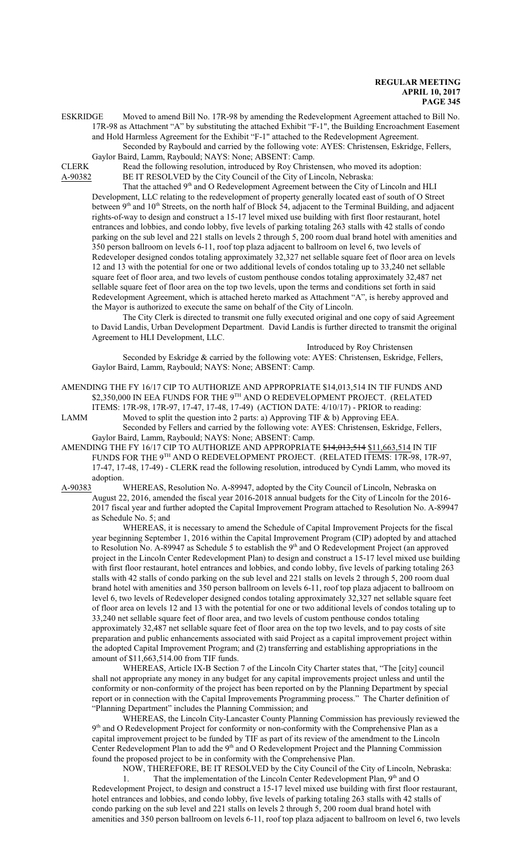ESKRIDGE Moved to amend Bill No. 17R-98 by amending the Redevelopment Agreement attached to Bill No. 17R-98 as Attachment "A" by substituting the attached Exhibit "F-1", the Building Encroachment Easement and Hold Harmless Agreement for the Exhibit "F-1" attached to the Redevelopment Agreement. Seconded by Raybould and carried by the following vote: AYES: Christensen, Eskridge, Fellers,

Gaylor Baird, Lamm, Raybould; NAYS: None; ABSENT: Camp.

CLERK Read the following resolution, introduced by Roy Christensen, who moved its adoption: A-90382 BE IT RESOLVED by the City Council of the City of Lincoln, Nebraska:

That the attached 9<sup>th</sup> and O Redevelopment Agreement between the City of Lincoln and HLI Development, LLC relating to the redevelopment of property generally located east of south of O Street between 9<sup>th</sup> and 10<sup>th</sup> Streets, on the north half of Block 54, adjacent to the Terminal Building, and adjacent rights-of-way to design and construct a 15-17 level mixed use building with first floor restaurant, hotel entrances and lobbies, and condo lobby, five levels of parking totaling 263 stalls with 42 stalls of condo parking on the sub level and 221 stalls on levels 2 through 5, 200 room dual brand hotel with amenities and 350 person ballroom on levels 6-11, roof top plaza adjacent to ballroom on level 6, two levels of Redeveloper designed condos totaling approximately 32,327 net sellable square feet of floor area on levels 12 and 13 with the potential for one or two additional levels of condos totaling up to 33,240 net sellable square feet of floor area, and two levels of custom penthouse condos totaling approximately 32,487 net sellable square feet of floor area on the top two levels, upon the terms and conditions set forth in said Redevelopment Agreement, which is attached hereto marked as Attachment "A", is hereby approved and the Mayor is authorized to execute the same on behalf of the City of Lincoln.

The City Clerk is directed to transmit one fully executed original and one copy of said Agreement to David Landis, Urban Development Department. David Landis is further directed to transmit the original Agreement to HLI Development, LLC.

Introduced by Roy Christensen

Seconded by Eskridge & carried by the following vote: AYES: Christensen, Eskridge, Fellers, Gaylor Baird, Lamm, Raybould; NAYS: None; ABSENT: Camp.

AMENDING THE FY 16/17 CIP TO AUTHORIZE AND APPROPRIATE \$14,013,514 IN TIF FUNDS AND  $\$2,\!350,\!000$  IN EEA FUNDS FOR THE  $9^\text{TH}$  AND O REDEVELOPMENT PROJECT. (RELATED ITEMS: 17R-98, 17R-97, 17-47, 17-48, 17-49) (ACTION DATE: 4/10/17) - PRIOR to reading:

LAMM Moved to split the question into 2 parts: a) Approving TIF  $\& b$  b) Approving EEA. Seconded by Fellers and carried by the following vote: AYES: Christensen, Eskridge, Fellers, Gaylor Baird, Lamm, Raybould; NAYS: None; ABSENT: Camp.

AMENDING THE FY 16/17 CIP TO AUTHORIZE AND APPROPRIATE \$14,013,514 \$11,663,514 IN TIF FUNDS FOR THE 9TH AND O REDEVELOPMENT PROJECT. (RELATED ITEMS: 17R-98, 17R-97, 17-47, 17-48, 17-49) - CLERK read the following resolution, introduced by Cyndi Lamm, who moved its adoption.

A-90383 WHEREAS, Resolution No. A-89947, adopted by the City Council of Lincoln, Nebraska on August 22, 2016, amended the fiscal year 2016-2018 annual budgets for the City of Lincoln for the 2016- 2017 fiscal year and further adopted the Capital Improvement Program attached to Resolution No. A-89947 as Schedule No. 5; and

WHEREAS, it is necessary to amend the Schedule of Capital Improvement Projects for the fiscal year beginning September 1, 2016 within the Capital Improvement Program (CIP) adopted by and attached to Resolution No. A-89947 as Schedule 5 to establish the 9<sup>th</sup> and O Redevelopment Project (an approved project in the Lincoln Center Redevelopment Plan) to design and construct a 15-17 level mixed use building with first floor restaurant, hotel entrances and lobbies, and condo lobby, five levels of parking totaling 263 stalls with 42 stalls of condo parking on the sub level and 221 stalls on levels 2 through 5, 200 room dual brand hotel with amenities and 350 person ballroom on levels 6-11, roof top plaza adjacent to ballroom on level 6, two levels of Redeveloper designed condos totaling approximately 32,327 net sellable square feet of floor area on levels 12 and 13 with the potential for one or two additional levels of condos totaling up to 33,240 net sellable square feet of floor area, and two levels of custom penthouse condos totaling approximately 32,487 net sellable square feet of floor area on the top two levels, and to pay costs of site preparation and public enhancements associated with said Project as a capital improvement project within the adopted Capital Improvement Program; and (2) transferring and establishing appropriations in the amount of \$11,663,514.00 from TIF funds.

WHEREAS, Article IX-B Section 7 of the Lincoln City Charter states that, "The [city] council shall not appropriate any money in any budget for any capital improvements project unless and until the conformity or non-conformity of the project has been reported on by the Planning Department by special report or in connection with the Capital Improvements Programming process." The Charter definition of "Planning Department" includes the Planning Commission; and

WHEREAS, the Lincoln City-Lancaster County Planning Commission has previously reviewed the 9<sup>th</sup> and O Redevelopment Project for conformity or non-conformity with the Comprehensive Plan as a capital improvement project to be funded by TIF as part of its review of the amendment to the Lincoln Center Redevelopment Plan to add the 9<sup>th</sup> and O Redevelopment Project and the Planning Commission found the proposed project to be in conformity with the Comprehensive Plan.

NOW, THEREFORE, BE IT RESOLVED by the City Council of the City of Lincoln, Nebraska: 1. That the implementation of the Lincoln Center Redevelopment Plan, 9<sup>th</sup> and O Redevelopment Project, to design and construct a 15-17 level mixed use building with first floor restaurant, hotel entrances and lobbies, and condo lobby, five levels of parking totaling 263 stalls with 42 stalls of condo parking on the sub level and 221 stalls on levels 2 through 5, 200 room dual brand hotel with amenities and 350 person ballroom on levels 6-11, roof top plaza adjacent to ballroom on level 6, two levels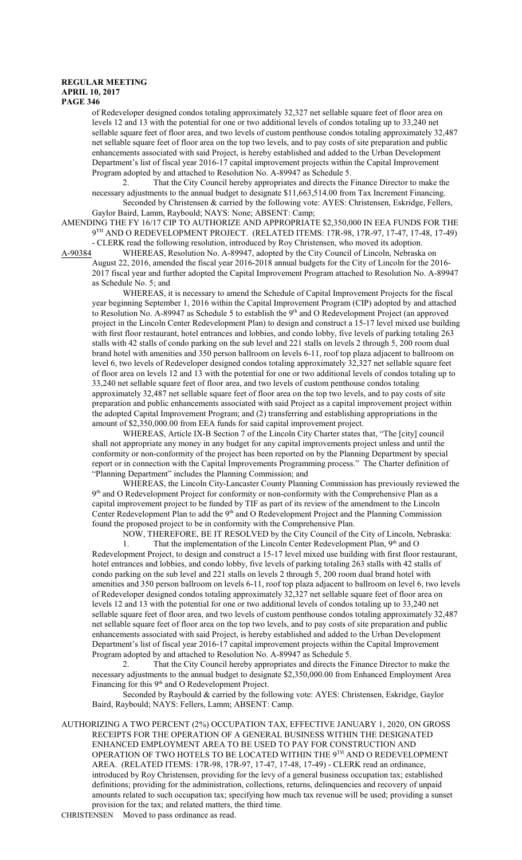of Redeveloper designed condos totaling approximately 32,327 net sellable square feet of floor area on levels 12 and 13 with the potential for one or two additional levels of condos totaling up to 33,240 net sellable square feet of floor area, and two levels of custom penthouse condos totaling approximately 32,487 net sellable square feet of floor area on the top two levels, and to pay costs of site preparation and public enhancements associated with said Project, is hereby established and added to the Urban Development Department's list of fiscal year 2016-17 capital improvement projects within the Capital Improvement Program adopted by and attached to Resolution No. A-89947 as Schedule 5.

2. That the City Council hereby appropriates and directs the Finance Director to make the necessary adjustments to the annual budget to designate \$11,663,514.00 from Tax Increment Financing. Seconded by Christensen & carried by the following vote: AYES: Christensen, Eskridge, Fellers,

Gaylor Baird, Lamm, Raybould; NAYS: None; ABSENT: Camp; AMENDING THE FY 16/17 CIP TO AUTHORIZE AND APPROPRIATE \$2,350,000 IN EEA FUNDS FOR THE 9 TH AND O REDEVELOPMENT PROJECT. (RELATED ITEMS: 17R-98, 17R-97, 17-47, 17-48, 17-49)

- CLERK read the following resolution, introduced by Roy Christensen, who moved its adoption.<br>A-90384 WHEREAS, Resolution No. A-89947, adopted by the City Council of Lincoln, Nebraska WHEREAS, Resolution No. A-89947, adopted by the City Council of Lincoln, Nebraska on August 22, 2016, amended the fiscal year 2016-2018 annual budgets for the City of Lincoln for the 2016- 2017 fiscal year and further adopted the Capital Improvement Program attached to Resolution No. A-89947 as Schedule No. 5; and

WHEREAS, it is necessary to amend the Schedule of Capital Improvement Projects for the fiscal year beginning September 1, 2016 within the Capital Improvement Program (CIP) adopted by and attached to Resolution No. A-89947 as Schedule 5 to establish the 9<sup>th</sup> and O Redevelopment Project (an approved project in the Lincoln Center Redevelopment Plan) to design and construct a 15-17 level mixed use building with first floor restaurant, hotel entrances and lobbies, and condo lobby, five levels of parking totaling 263 stalls with 42 stalls of condo parking on the sub level and 221 stalls on levels 2 through 5, 200 room dual brand hotel with amenities and 350 person ballroom on levels 6-11, roof top plaza adjacent to ballroom on level 6, two levels of Redeveloper designed condos totaling approximately 32,327 net sellable square feet of floor area on levels 12 and 13 with the potential for one or two additional levels of condos totaling up to 33,240 net sellable square feet of floor area, and two levels of custom penthouse condos totaling approximately 32,487 net sellable square feet of floor area on the top two levels, and to pay costs of site preparation and public enhancements associated with said Project as a capital improvement project within the adopted Capital Improvement Program; and (2) transferring and establishing appropriations in the amount of \$2,350,000.00 from EEA funds for said capital improvement project.

WHEREAS, Article IX-B Section 7 of the Lincoln City Charter states that, "The [city] council shall not appropriate any money in any budget for any capital improvements project unless and until the conformity or non-conformity of the project has been reported on by the Planning Department by special report or in connection with the Capital Improvements Programming process." The Charter definition of "Planning Department" includes the Planning Commission; and

WHEREAS, the Lincoln City-Lancaster County Planning Commission has previously reviewed the 9<sup>th</sup> and O Redevelopment Project for conformity or non-conformity with the Comprehensive Plan as a capital improvement project to be funded by TIF as part of its review of the amendment to the Lincoln Center Redevelopment Plan to add the 9<sup>th</sup> and O Redevelopment Project and the Planning Commission found the proposed project to be in conformity with the Comprehensive Plan.

NOW, THEREFORE, BE IT RESOLVED by the City Council of the City of Lincoln, Nebraska: 1. That the implementation of the Lincoln Center Redevelopment Plan, 9<sup>th</sup> and O Redevelopment Project, to design and construct a 15-17 level mixed use building with first floor restaurant, hotel entrances and lobbies, and condo lobby, five levels of parking totaling 263 stalls with 42 stalls of condo parking on the sub level and 221 stalls on levels 2 through 5, 200 room dual brand hotel with amenities and 350 person ballroom on levels 6-11, roof top plaza adjacent to ballroom on level 6, two levels of Redeveloper designed condos totaling approximately 32,327 net sellable square feet of floor area on levels 12 and 13 with the potential for one or two additional levels of condos totaling up to 33,240 net sellable square feet of floor area, and two levels of custom penthouse condos totaling approximately 32,487 net sellable square feet of floor area on the top two levels, and to pay costs of site preparation and public enhancements associated with said Project, is hereby established and added to the Urban Development Department's list of fiscal year 2016-17 capital improvement projects within the Capital Improvement Program adopted by and attached to Resolution No. A-89947 as Schedule 5.

2. That the City Council hereby appropriates and directs the Finance Director to make the necessary adjustments to the annual budget to designate \$2,350,000.00 from Enhanced Employment Area Financing for this 9<sup>th</sup> and O Redevelopment Project.

Seconded by Raybould & carried by the following vote: AYES: Christensen, Eskridge, Gaylor Baird, Raybould; NAYS: Fellers, Lamm; ABSENT: Camp.

AUTHORIZING A TWO PERCENT (2%) OCCUPATION TAX, EFFECTIVE JANUARY 1, 2020, ON GROSS RECEIPTS FOR THE OPERATION OF A GENERAL BUSINESS WITHIN THE DESIGNATED ENHANCED EMPLOYMENT AREA TO BE USED TO PAY FOR CONSTRUCTION AND OPERATION OF TWO HOTELS TO BE LOCATED WITHIN THE  $9^{\text{\tiny{TH}}}$  and  $0$  redevelopment AREA. (RELATED ITEMS: 17R-98, 17R-97, 17-47, 17-48, 17-49) - CLERK read an ordinance, introduced by Roy Christensen, providing for the levy of a general business occupation tax; established definitions; providing for the administration, collections, returns, delinquencies and recovery of unpaid amounts related to such occupation tax; specifying how much tax revenue will be used; providing a sunset provision for the tax; and related matters, the third time.

CHRISTENSEN Moved to pass ordinance as read.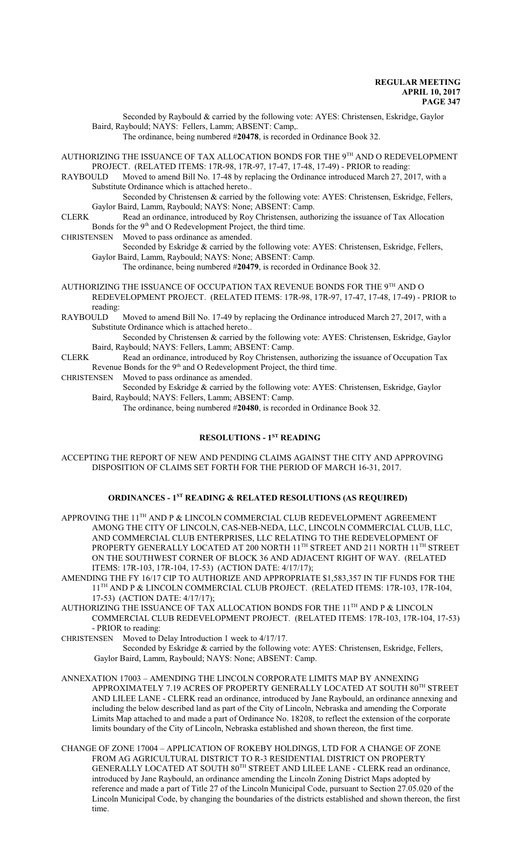Seconded by Raybould & carried by the following vote: AYES: Christensen, Eskridge, Gaylor Baird, Raybould; NAYS: Fellers, Lamm; ABSENT: Camp,.

The ordinance, being numbered #**20478**, is recorded in Ordinance Book 32.

AUTHORIZING THE ISSUANCE OF TAX ALLOCATION BONDS FOR THE 9<sup>th</sup> AND O REDEVELOPMENT PROJECT. (RELATED ITEMS: 17R-98, 17R-97, 17-47, 17-48, 17-49) - PRIOR to reading:

RAYBOULD Moved to amend Bill No. 17-48 by replacing the Ordinance introduced March 27, 2017, with a Substitute Ordinance which is attached hereto..

Seconded by Christensen & carried by the following vote: AYES: Christensen, Eskridge, Fellers, Gaylor Baird, Lamm, Raybould; NAYS: None; ABSENT: Camp.

CLERK Read an ordinance, introduced by Roy Christensen, authorizing the issuance of Tax Allocation Bonds for the 9<sup>th</sup> and O Redevelopment Project, the third time.

CHRISTENSEN Moved to pass ordinance as amended.

Seconded by Eskridge & carried by the following vote: AYES: Christensen, Eskridge, Fellers, Gaylor Baird, Lamm, Raybould; NAYS: None; ABSENT: Camp.

The ordinance, being numbered #**20479**, is recorded in Ordinance Book 32.

AUTHORIZING THE ISSUANCE OF OCCUPATION TAX REVENUE BONDS FOR THE  $9^{\text{TH}}$  AND O REDEVELOPMENT PROJECT. (RELATED ITEMS: 17R-98, 17R-97, 17-47, 17-48, 17-49) - PRIOR to reading:<br>RAYBOULD

Moved to amend Bill No. 17-49 by replacing the Ordinance introduced March 27, 2017, with a Substitute Ordinance which is attached hereto..

Seconded by Christensen & carried by the following vote: AYES: Christensen, Eskridge, Gaylor Baird, Raybould; NAYS: Fellers, Lamm; ABSENT: Camp.

CLERK Read an ordinance, introduced by Roy Christensen, authorizing the issuance of Occupation Tax Revenue Bonds for the 9<sup>th</sup> and O Redevelopment Project, the third time.

CHRISTENSEN Moved to pass ordinance as amended.

Seconded by Eskridge & carried by the following vote: AYES: Christensen, Eskridge, Gaylor Baird, Raybould; NAYS: Fellers, Lamm; ABSENT: Camp.

The ordinance, being numbered #**20480**, is recorded in Ordinance Book 32.

### **RESOLUTIONS - 1ST READING**

ACCEPTING THE REPORT OF NEW AND PENDING CLAIMS AGAINST THE CITY AND APPROVING DISPOSITION OF CLAIMS SET FORTH FOR THE PERIOD OF MARCH 16-31, 2017.

## **ORDINANCES - 1ST READING & RELATED RESOLUTIONS (AS REQUIRED)**

APPROVING THE  $11^{\text{TH}}$  AND P & LINCOLN COMMERCIAL CLUB REDEVELOPMENT AGREEMENT AMONG THE CITY OF LINCOLN, CAS-NEB-NEDA, LLC, LINCOLN COMMERCIAL CLUB, LLC, AND COMMERCIAL CLUB ENTERPRISES, LLC RELATING TO THE REDEVELOPMENT OF PROPERTY GENERALLY LOCATED AT 200 NORTH 11<sup>th</sup> STREET AND 211 NORTH 11<sup>th</sup> STREET ON THE SOUTHWEST CORNER OF BLOCK 36 AND ADJACENT RIGHT OF WAY. (RELATED ITEMS: 17R-103, 17R-104, 17-53) (ACTION DATE: 4/17/17);

AMENDING THE FY 16/17 CIP TO AUTHORIZE AND APPROPRIATE \$1,583,357 IN TIF FUNDS FOR THE 11<sup>TH</sup> AND P & LINCOLN COMMERCIAL CLUB PROJECT. (RELATED ITEMS: 17R-103, 17R-104, 17-53) (ACTION DATE: 4/17/17);

AUTHORIZING THE ISSUANCE OF TAX ALLOCATION BONDS FOR THE 11<sup>th</sup> AND P & LINCOLN COMMERCIAL CLUB REDEVELOPMENT PROJECT. (RELATED ITEMS: 17R-103, 17R-104, 17-53) - PRIOR to reading:

CHRISTENSEN Moved to Delay Introduction 1 week to 4/17/17.

Seconded by Eskridge & carried by the following vote: AYES: Christensen, Eskridge, Fellers, Gaylor Baird, Lamm, Raybould; NAYS: None; ABSENT: Camp.

- ANNEXATION 17003 AMENDING THE LINCOLN CORPORATE LIMITS MAP BY ANNEXING APPROXIMATELY 7.19 ACRES OF PROPERTY GENERALLY LOCATED AT SOUTH  $80^{\text{\tiny{TH}}}$  STREET AND LILEE LANE - CLERK read an ordinance, introduced by Jane Raybould, an ordinance annexing and including the below described land as part of the City of Lincoln, Nebraska and amending the Corporate Limits Map attached to and made a part of Ordinance No. 18208, to reflect the extension of the corporate limits boundary of the City of Lincoln, Nebraska established and shown thereon, the first time.
- CHANGE OF ZONE 17004 APPLICATION OF ROKEBY HOLDINGS, LTD FOR A CHANGE OF ZONE FROM AG AGRICULTURAL DISTRICT TO R-3 RESIDENTIAL DISTRICT ON PROPERTY GENERALLY LOCATED AT SOUTH 80<sup>TH</sup> STREET AND LILEE LANE - CLERK read an ordinance, introduced by Jane Raybould, an ordinance amending the Lincoln Zoning District Maps adopted by reference and made a part of Title 27 of the Lincoln Municipal Code, pursuant to Section 27.05.020 of the Lincoln Municipal Code, by changing the boundaries of the districts established and shown thereon, the first time.